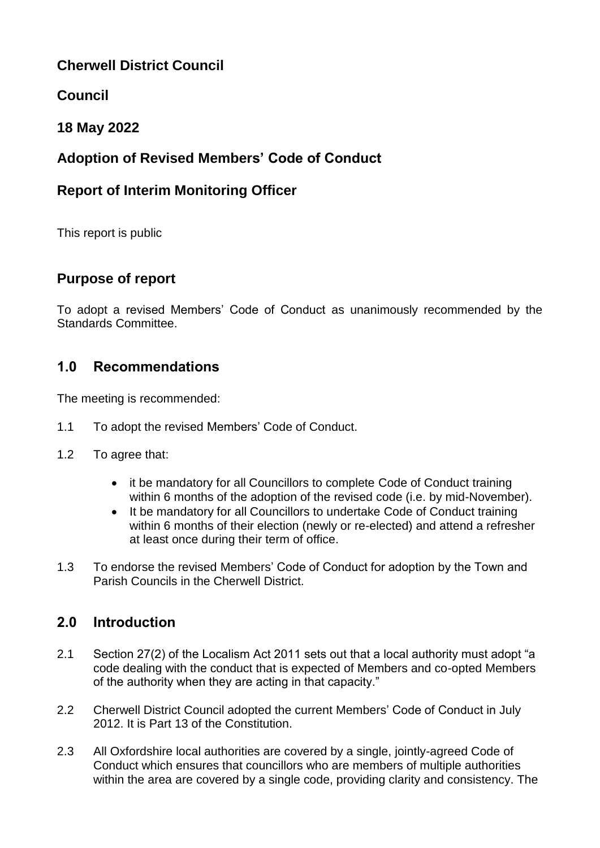## **Cherwell District Council**

## **Council**

## **18 May 2022**

# **Adoption of Revised Members' Code of Conduct**

## **Report of Interim Monitoring Officer**

This report is public

## **Purpose of report**

To adopt a revised Members' Code of Conduct as unanimously recommended by the Standards Committee.

## **1.0 Recommendations**

The meeting is recommended:

- 1.1 To adopt the revised Members' Code of Conduct.
- 1.2 To agree that:
	- it be mandatory for all Councillors to complete Code of Conduct training within 6 months of the adoption of the revised code (i.e. by mid-November).
	- It be mandatory for all Councillors to undertake Code of Conduct training within 6 months of their election (newly or re-elected) and attend a refresher at least once during their term of office.
- 1.3 To endorse the revised Members' Code of Conduct for adoption by the Town and Parish Councils in the Cherwell District.

## **2.0 Introduction**

- 2.1 Section 27(2) of the Localism Act 2011 sets out that a local authority must adopt "a code dealing with the conduct that is expected of Members and co-opted Members of the authority when they are acting in that capacity."
- 2.2 Cherwell District Council adopted the current Members' Code of Conduct in July 2012. It is Part 13 of the Constitution.
- 2.3 All Oxfordshire local authorities are covered by a single, jointly-agreed Code of Conduct which ensures that councillors who are members of multiple authorities within the area are covered by a single code, providing clarity and consistency. The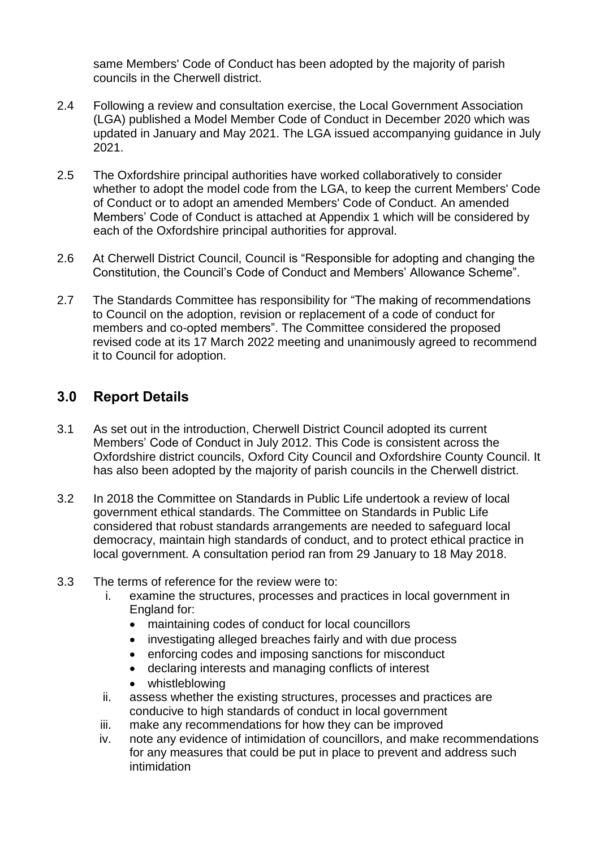same Members' Code of Conduct has been adopted by the majority of parish councils in the Cherwell district.

- 2.4 Following a review and consultation exercise, the Local Government Association (LGA) published a Model Member Code of Conduct in December 2020 which was updated in January and May 2021. The LGA issued accompanying guidance in July 2021.
- 2.5 The Oxfordshire principal authorities have worked collaboratively to consider whether to adopt the model code from the LGA, to keep the current Members' Code of Conduct or to adopt an amended Members' Code of Conduct. An amended Members' Code of Conduct is attached at Appendix 1 which will be considered by each of the Oxfordshire principal authorities for approval.
- 2.6 At Cherwell District Council, Council is "Responsible for adopting and changing the Constitution, the Council's Code of Conduct and Members' Allowance Scheme".
- 2.7 The Standards Committee has responsibility for "The making of recommendations to Council on the adoption, revision or replacement of a code of conduct for members and co-opted members". The Committee considered the proposed revised code at its 17 March 2022 meeting and unanimously agreed to recommend it to Council for adoption.

## **3.0 Report Details**

- 3.1 As set out in the introduction, Cherwell District Council adopted its current Members' Code of Conduct in July 2012. This Code is consistent across the Oxfordshire district councils, Oxford City Council and Oxfordshire County Council. It has also been adopted by the majority of parish councils in the Cherwell district.
- 3.2 In 2018 the Committee on Standards in Public Life undertook a review of local government ethical standards. The Committee on Standards in Public Life considered that robust standards arrangements are needed to safeguard local democracy, maintain high standards of conduct, and to protect ethical practice in local government. A consultation period ran from 29 January to 18 May 2018.
- 3.3 The terms of reference for the review were to:
	- i. examine the structures, processes and practices in local government in England for:
		- maintaining codes of conduct for local councillors
		- investigating alleged breaches fairly and with due process
		- enforcing codes and imposing sanctions for misconduct
		- declaring interests and managing conflicts of interest
		- whistleblowing
	- ii. assess whether the existing structures, processes and practices are conducive to high standards of conduct in local government
	- iii. make any recommendations for how they can be improved
	- iv. note any evidence of intimidation of councillors, and make recommendations for any measures that could be put in place to prevent and address such intimidation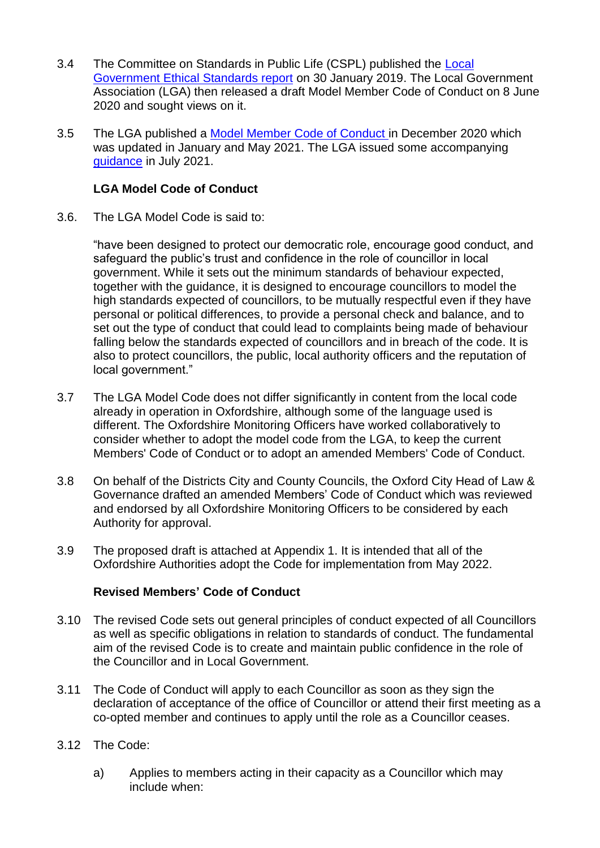- 3.4 The Committee on Standards in Public Life (CSPL) published the [Local](https://www.gov.uk/government/publications/local-government-ethical-standards-report)  [Government Ethical Standards report](https://www.gov.uk/government/publications/local-government-ethical-standards-report) on 30 January 2019. The Local Government Association (LGA) then released a draft Model Member Code of Conduct on 8 June 2020 and sought views on it.
- 3.5 The LGA published a [Model Member Code of Conduct i](https://www.local.gov.uk/publications/local-government-association-model-councillor-code-conduct-2020)n December 2020 which was updated in January and May 2021. The LGA issued some accompanying [guidance](https://www.local.gov.uk/publications/guidance-local-government-association-model-councillor-code-conduct) in July 2021.

### **LGA Model Code of Conduct**

3.6. The LGA Model Code is said to:

"have been designed to protect our democratic role, encourage good conduct, and safeguard the public's trust and confidence in the role of councillor in local government. While it sets out the minimum standards of behaviour expected, together with the guidance, it is designed to encourage councillors to model the high standards expected of councillors, to be mutually respectful even if they have personal or political differences, to provide a personal check and balance, and to set out the type of conduct that could lead to complaints being made of behaviour falling below the standards expected of councillors and in breach of the code. It is also to protect councillors, the public, local authority officers and the reputation of local government."

- 3.7 The LGA Model Code does not differ significantly in content from the local code already in operation in Oxfordshire, although some of the language used is different. The Oxfordshire Monitoring Officers have worked collaboratively to consider whether to adopt the model code from the LGA, to keep the current Members' Code of Conduct or to adopt an amended Members' Code of Conduct.
- 3.8 On behalf of the Districts City and County Councils, the Oxford City Head of Law & Governance drafted an amended Members' Code of Conduct which was reviewed and endorsed by all Oxfordshire Monitoring Officers to be considered by each Authority for approval.
- 3.9 The proposed draft is attached at Appendix 1. It is intended that all of the Oxfordshire Authorities adopt the Code for implementation from May 2022.

#### **Revised Members' Code of Conduct**

- 3.10 The revised Code sets out general principles of conduct expected of all Councillors as well as specific obligations in relation to standards of conduct. The fundamental aim of the revised Code is to create and maintain public confidence in the role of the Councillor and in Local Government.
- 3.11 The Code of Conduct will apply to each Councillor as soon as they sign the declaration of acceptance of the office of Councillor or attend their first meeting as a co-opted member and continues to apply until the role as a Councillor ceases.
- 3.12 The Code:
	- a) Applies to members acting in their capacity as a Councillor which may include when: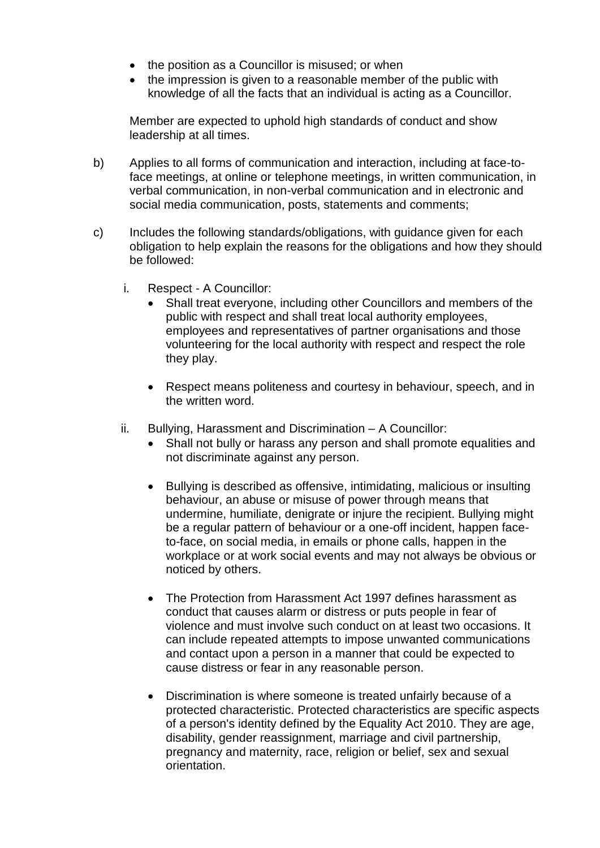- the position as a Councillor is misused; or when
- the impression is given to a reasonable member of the public with knowledge of all the facts that an individual is acting as a Councillor.

Member are expected to uphold high standards of conduct and show leadership at all times.

- b) Applies to all forms of communication and interaction, including at face-toface meetings, at online or telephone meetings, in written communication, in verbal communication, in non-verbal communication and in electronic and social media communication, posts, statements and comments;
- c) Includes the following standards/obligations, with guidance given for each obligation to help explain the reasons for the obligations and how they should be followed:
	- i. Respect A Councillor:
		- Shall treat everyone, including other Councillors and members of the public with respect and shall treat local authority employees, employees and representatives of partner organisations and those volunteering for the local authority with respect and respect the role they play.
		- Respect means politeness and courtesy in behaviour, speech, and in the written word.
	- ii. Bullying, Harassment and Discrimination A Councillor:
		- Shall not bully or harass any person and shall promote equalities and not discriminate against any person.
		- Bullying is described as offensive, intimidating, malicious or insulting behaviour, an abuse or misuse of power through means that undermine, humiliate, denigrate or injure the recipient. Bullying might be a regular pattern of behaviour or a one-off incident, happen faceto-face, on social media, in emails or phone calls, happen in the workplace or at work social events and may not always be obvious or noticed by others.
		- The Protection from Harassment Act 1997 defines harassment as conduct that causes alarm or distress or puts people in fear of violence and must involve such conduct on at least two occasions. It can include repeated attempts to impose unwanted communications and contact upon a person in a manner that could be expected to cause distress or fear in any reasonable person.
		- Discrimination is where someone is treated unfairly because of a protected characteristic. Protected characteristics are specific aspects of a person's identity defined by the Equality Act 2010. They are age, disability, gender reassignment, marriage and civil partnership, pregnancy and maternity, race, religion or belief, sex and sexual orientation.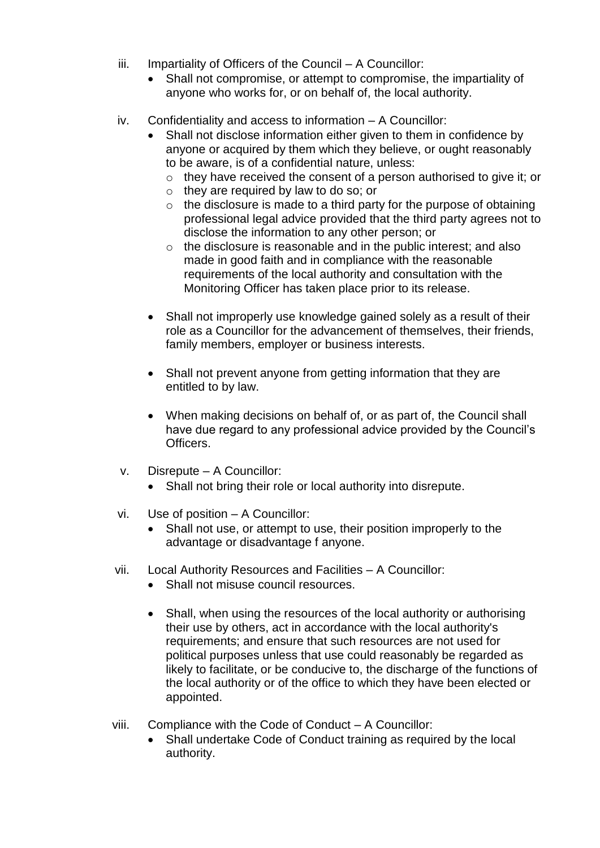- iii. Impartiality of Officers of the Council A Councillor:
	- Shall not compromise, or attempt to compromise, the impartiality of anyone who works for, or on behalf of, the local authority.
- iv. Confidentiality and access to information A Councillor:
	- Shall not disclose information either given to them in confidence by anyone or acquired by them which they believe, or ought reasonably to be aware, is of a confidential nature, unless:
		- $\circ$  they have received the consent of a person authorised to give it; or
		- o they are required by law to do so; or
		- $\circ$  the disclosure is made to a third party for the purpose of obtaining professional legal advice provided that the third party agrees not to disclose the information to any other person; or
		- $\circ$  the disclosure is reasonable and in the public interest; and also made in good faith and in compliance with the reasonable requirements of the local authority and consultation with the Monitoring Officer has taken place prior to its release.
	- Shall not improperly use knowledge gained solely as a result of their role as a Councillor for the advancement of themselves, their friends, family members, employer or business interests.
	- Shall not prevent anyone from getting information that they are entitled to by law.
	- When making decisions on behalf of, or as part of, the Council shall have due regard to any professional advice provided by the Council's Officers.
- v. Disrepute A Councillor:
	- Shall not bring their role or local authority into disrepute.
- vi. Use of position A Councillor:
	- Shall not use, or attempt to use, their position improperly to the advantage or disadvantage f anyone.
- vii. Local Authority Resources and Facilities A Councillor:
	- Shall not misuse council resources.
	- Shall, when using the resources of the local authority or authorising their use by others, act in accordance with the local authority's requirements; and ensure that such resources are not used for political purposes unless that use could reasonably be regarded as likely to facilitate, or be conducive to, the discharge of the functions of the local authority or of the office to which they have been elected or appointed.
- viii. Compliance with the Code of Conduct A Councillor:
	- Shall undertake Code of Conduct training as required by the local authority.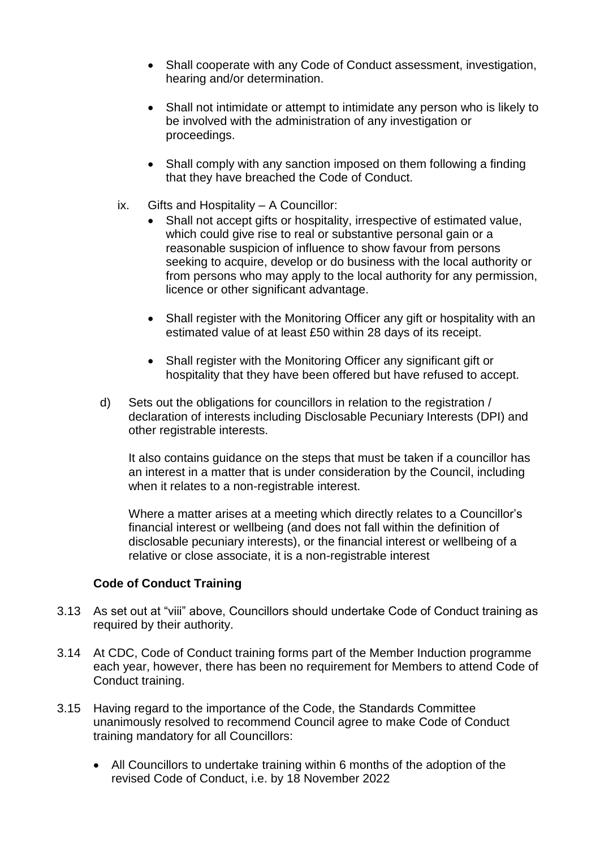- Shall cooperate with any Code of Conduct assessment, investigation, hearing and/or determination.
- Shall not intimidate or attempt to intimidate any person who is likely to be involved with the administration of any investigation or proceedings.
- Shall comply with any sanction imposed on them following a finding that they have breached the Code of Conduct.
- ix. Gifts and Hospitality A Councillor:
	- Shall not accept gifts or hospitality, irrespective of estimated value, which could give rise to real or substantive personal gain or a reasonable suspicion of influence to show favour from persons seeking to acquire, develop or do business with the local authority or from persons who may apply to the local authority for any permission, licence or other significant advantage.
	- Shall register with the Monitoring Officer any gift or hospitality with an estimated value of at least £50 within 28 days of its receipt.
	- Shall register with the Monitoring Officer any significant gift or hospitality that they have been offered but have refused to accept.
- d) Sets out the obligations for councillors in relation to the registration / declaration of interests including Disclosable Pecuniary Interests (DPI) and other registrable interests.

It also contains guidance on the steps that must be taken if a councillor has an interest in a matter that is under consideration by the Council, including when it relates to a non-registrable interest.

Where a matter arises at a meeting which directly relates to a Councillor's financial interest or wellbeing (and does not fall within the definition of disclosable pecuniary interests), or the financial interest or wellbeing of a relative or close associate, it is a non-registrable interest

#### **Code of Conduct Training**

- 3.13 As set out at "viii" above, Councillors should undertake Code of Conduct training as required by their authority.
- 3.14 At CDC, Code of Conduct training forms part of the Member Induction programme each year, however, there has been no requirement for Members to attend Code of Conduct training.
- 3.15 Having regard to the importance of the Code, the Standards Committee unanimously resolved to recommend Council agree to make Code of Conduct training mandatory for all Councillors:
	- All Councillors to undertake training within 6 months of the adoption of the revised Code of Conduct, i.e. by 18 November 2022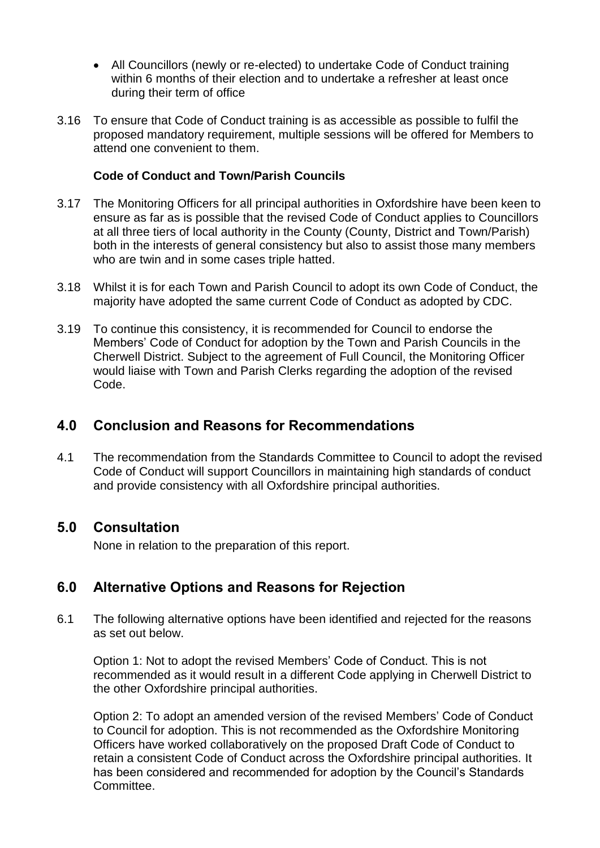- All Councillors (newly or re-elected) to undertake Code of Conduct training within 6 months of their election and to undertake a refresher at least once during their term of office
- 3.16 To ensure that Code of Conduct training is as accessible as possible to fulfil the proposed mandatory requirement, multiple sessions will be offered for Members to attend one convenient to them.

### **Code of Conduct and Town/Parish Councils**

- 3.17 The Monitoring Officers for all principal authorities in Oxfordshire have been keen to ensure as far as is possible that the revised Code of Conduct applies to Councillors at all three tiers of local authority in the County (County, District and Town/Parish) both in the interests of general consistency but also to assist those many members who are twin and in some cases triple hatted.
- 3.18 Whilst it is for each Town and Parish Council to adopt its own Code of Conduct, the majority have adopted the same current Code of Conduct as adopted by CDC.
- 3.19 To continue this consistency, it is recommended for Council to endorse the Members' Code of Conduct for adoption by the Town and Parish Councils in the Cherwell District. Subject to the agreement of Full Council, the Monitoring Officer would liaise with Town and Parish Clerks regarding the adoption of the revised Code.

### **4.0 Conclusion and Reasons for Recommendations**

4.1 The recommendation from the Standards Committee to Council to adopt the revised Code of Conduct will support Councillors in maintaining high standards of conduct and provide consistency with all Oxfordshire principal authorities.

### **5.0 Consultation**

None in relation to the preparation of this report.

### **6.0 Alternative Options and Reasons for Rejection**

6.1 The following alternative options have been identified and rejected for the reasons as set out below.

Option 1: Not to adopt the revised Members' Code of Conduct. This is not recommended as it would result in a different Code applying in Cherwell District to the other Oxfordshire principal authorities.

Option 2: To adopt an amended version of the revised Members' Code of Conduct to Council for adoption. This is not recommended as the Oxfordshire Monitoring Officers have worked collaboratively on the proposed Draft Code of Conduct to retain a consistent Code of Conduct across the Oxfordshire principal authorities. It has been considered and recommended for adoption by the Council's Standards Committee.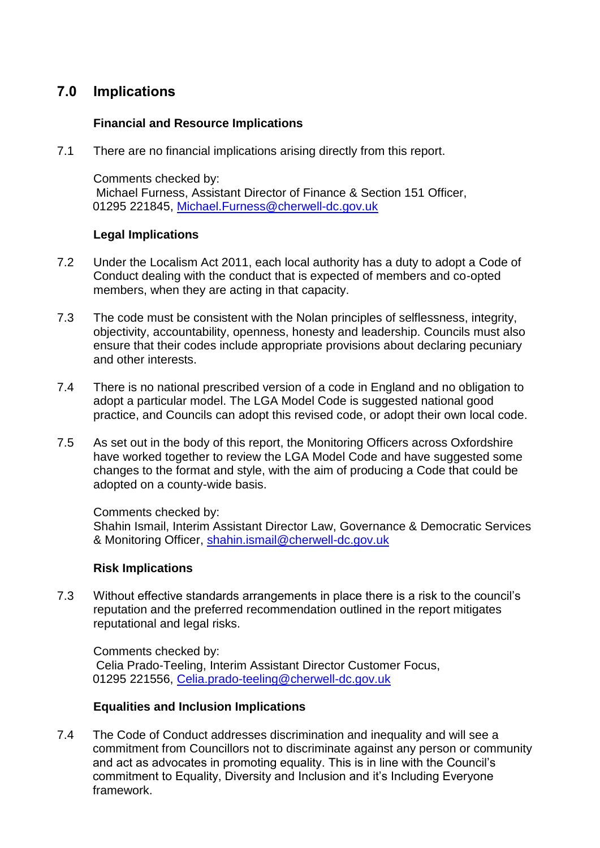## **7.0 Implications**

### **Financial and Resource Implications**

7.1 There are no financial implications arising directly from this report.

Comments checked by: Michael Furness, Assistant Director of Finance & Section 151 Officer, 01295 221845, [Michael.Furness@cherwell-dc.gov.uk](mailto:Michael.Furness@cherwell-dc.gov.uk)

#### **Legal Implications**

- 7.2 Under the Localism Act 2011, each local authority has a duty to adopt a Code of Conduct dealing with the conduct that is expected of members and co-opted members, when they are acting in that capacity.
- 7.3 The code must be consistent with the Nolan principles of selflessness, integrity, objectivity, accountability, openness, honesty and leadership. Councils must also ensure that their codes include appropriate provisions about declaring pecuniary and other interests.
- 7.4 There is no national prescribed version of a code in England and no obligation to adopt a particular model. The LGA Model Code is suggested national good practice, and Councils can adopt this revised code, or adopt their own local code.
- 7.5 As set out in the body of this report, the Monitoring Officers across Oxfordshire have worked together to review the LGA Model Code and have suggested some changes to the format and style, with the aim of producing a Code that could be adopted on a county-wide basis.

Comments checked by: Shahin Ismail, Interim Assistant Director Law, Governance & Democratic Services & Monitoring Officer, [shahin.ismail@cherwell-dc.gov.uk](mailto:shahin.ismail@cherwell-dc.gov.uk)

#### **Risk Implications**

7.3 Without effective standards arrangements in place there is a risk to the council's reputation and the preferred recommendation outlined in the report mitigates reputational and legal risks.

Comments checked by: Celia Prado-Teeling, Interim Assistant Director Customer Focus, 01295 221556, [Celia.prado-teeling@cherwell-dc.gov.uk](mailto:Celia.prado-teeling@cherwell-dc.gov.uk) 

#### **Equalities and Inclusion Implications**

7.4 The Code of Conduct addresses discrimination and inequality and will see a commitment from Councillors not to discriminate against any person or community and act as advocates in promoting equality. This is in line with the Council's commitment to Equality, Diversity and Inclusion and it's Including Everyone framework.